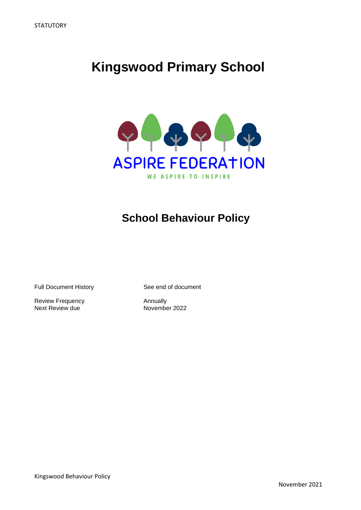# **Kingswood Primary School**



# **School Behaviour Policy**

Full Document History See end of document

Review Frequency<br>
Next Review due<br>
November 2022 Next Review due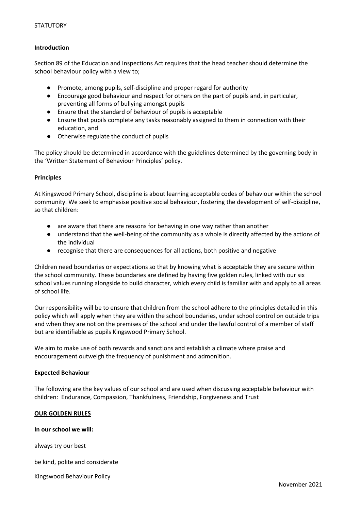# **Introduction**

Section 89 of the Education and Inspections Act requires that the head teacher should determine the school behaviour policy with a view to;

- Promote, among pupils, self-discipline and proper regard for authority
- Encourage good behaviour and respect for others on the part of pupils and, in particular, preventing all forms of bullying amongst pupils
- Ensure that the standard of behaviour of pupils is acceptable
- Ensure that pupils complete any tasks reasonably assigned to them in connection with their education, and
- Otherwise regulate the conduct of pupils

The policy should be determined in accordance with the guidelines determined by the governing body in the 'Written Statement of Behaviour Principles' policy.

#### **Principles**

At Kingswood Primary School, discipline is about learning acceptable codes of behaviour within the school community. We seek to emphasise positive social behaviour, fostering the development of self-discipline, so that children:

- are aware that there are reasons for behaving in one way rather than another
- understand that the well-being of the community as a whole is directly affected by the actions of the individual
- recognise that there are consequences for all actions, both positive and negative

Children need boundaries or expectations so that by knowing what is acceptable they are secure within the school community. These boundaries are defined by having five golden rules, linked with our six school values running alongside to build character, which every child is familiar with and apply to all areas of school life.

Our responsibility will be to ensure that children from the school adhere to the principles detailed in this policy which will apply when they are within the school boundaries, under school control on outside trips and when they are not on the premises of the school and under the lawful control of a member of staff but are identifiable as pupils Kingswood Primary School.

We aim to make use of both rewards and sanctions and establish a climate where praise and encouragement outweigh the frequency of punishment and admonition.

#### **Expected Behaviour**

The following are the key values of our school and are used when discussing acceptable behaviour with children: Endurance, Compassion, Thankfulness, Friendship, Forgiveness and Trust

# **OUR GOLDEN RULES**

#### **In our school we will:**

always try our best

be kind, polite and considerate

Kingswood Behaviour Policy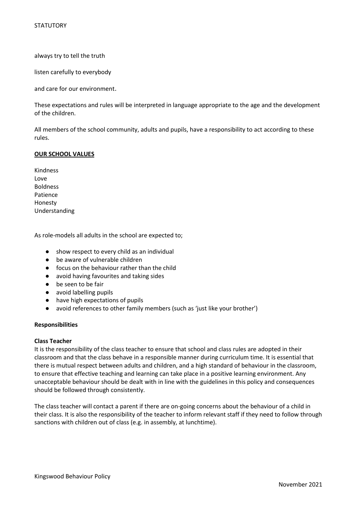always try to tell the truth

listen carefully to everybody

and care for our environment.

These expectations and rules will be interpreted in language appropriate to the age and the development of the children.

All members of the school community, adults and pupils, have a responsibility to act according to these rules.

# **OUR SCHOOL VALUES**

Kindness Love Boldness Patience Honesty Understanding

As role-models all adults in the school are expected to;

- show respect to every child as an individual
- be aware of vulnerable children
- focus on the behaviour rather than the child
- avoid having favourites and taking sides
- be seen to be fair
- avoid labelling pupils
- have high expectations of pupils
- avoid references to other family members (such as 'just like your brother')

#### **Responsibilities**

#### **Class Teacher**

It is the responsibility of the class teacher to ensure that school and class rules are adopted in their classroom and that the class behave in a responsible manner during curriculum time. It is essential that there is mutual respect between adults and children, and a high standard of behaviour in the classroom, to ensure that effective teaching and learning can take place in a positive learning environment. Any unacceptable behaviour should be dealt with in line with the guidelines in this policy and consequences should be followed through consistently.

The class teacher will contact a parent if there are on-going concerns about the behaviour of a child in their class. It is also the responsibility of the teacher to inform relevant staff if they need to follow through sanctions with children out of class (e.g. in assembly, at lunchtime).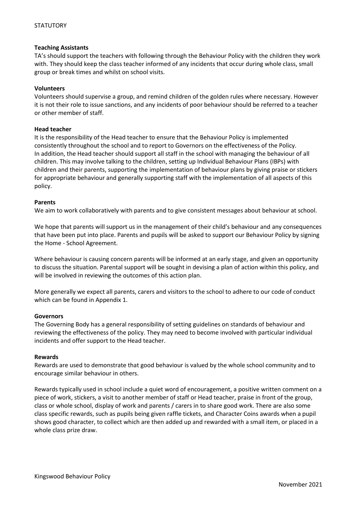# **Teaching Assistants**

TA's should support the teachers with following through the Behaviour Policy with the children they work with. They should keep the class teacher informed of any incidents that occur during whole class, small group or break times and whilst on school visits.

# **Volunteers**

Volunteers should supervise a group, and remind children of the golden rules where necessary. However it is not their role to issue sanctions, and any incidents of poor behaviour should be referred to a teacher or other member of staff.

# **Head teacher**

It is the responsibility of the Head teacher to ensure that the Behaviour Policy is implemented consistently throughout the school and to report to Governors on the effectiveness of the Policy. In addition, the Head teacher should support all staff in the school with managing the behaviour of all children. This may involve talking to the children, setting up Individual Behaviour Plans (IBPs) with children and their parents, supporting the implementation of behaviour plans by giving praise or stickers for appropriate behaviour and generally supporting staff with the implementation of all aspects of this policy.

# **Parents**

We aim to work collaboratively with parents and to give consistent messages about behaviour at school.

We hope that parents will support us in the management of their child's behaviour and any consequences that have been put into place. Parents and pupils will be asked to support our Behaviour Policy by signing the Home - School Agreement.

Where behaviour is causing concern parents will be informed at an early stage, and given an opportunity to discuss the situation. Parental support will be sought in devising a plan of action within this policy, and will be involved in reviewing the outcomes of this action plan.

More generally we expect all parents, carers and visitors to the school to adhere to our code of conduct which can be found in Appendix 1.

#### **Governors**

The Governing Body has a general responsibility of setting guidelines on standards of behaviour and reviewing the effectiveness of the policy. They may need to become involved with particular individual incidents and offer support to the Head teacher.

#### **Rewards**

Rewards are used to demonstrate that good behaviour is valued by the whole school community and to encourage similar behaviour in others.

Rewards typically used in school include a quiet word of encouragement, a positive written comment on a piece of work, stickers, a visit to another member of staff or Head teacher, praise in front of the group, class or whole school, display of work and parents / carers in to share good work. There are also some class specific rewards, such as pupils being given raffle tickets, and Character Coins awards when a pupil shows good character, to collect which are then added up and rewarded with a small item, or placed in a whole class prize draw.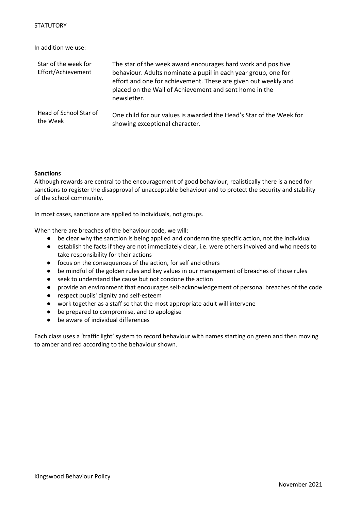In addition we use:

| Star of the week for<br>Effort/Achievement | The star of the week award encourages hard work and positive<br>behaviour. Adults nominate a pupil in each year group, one for<br>effort and one for achievement. These are given out weekly and<br>placed on the Wall of Achievement and sent home in the<br>newsletter. |
|--------------------------------------------|---------------------------------------------------------------------------------------------------------------------------------------------------------------------------------------------------------------------------------------------------------------------------|
| Head of School Star of                     | One child for our values is awarded the Head's Star of the Week for                                                                                                                                                                                                       |
| the Week                                   | showing exceptional character.                                                                                                                                                                                                                                            |

# **Sanctions**

Although rewards are central to the encouragement of good behaviour, realistically there is a need for sanctions to register the disapproval of unacceptable behaviour and to protect the security and stability of the school community.

In most cases, sanctions are applied to individuals, not groups.

When there are breaches of the behaviour code, we will:

- be clear why the sanction is being applied and condemn the specific action, not the individual
- establish the facts if they are not immediately clear, i.e. were others involved and who needs to take responsibility for their actions
- focus on the consequences of the action, for self and others
- be mindful of the golden rules and key values in our management of breaches of those rules
- seek to understand the cause but not condone the action
- provide an environment that encourages self-acknowledgement of personal breaches of the code
- respect pupils' dignity and self-esteem
- work together as a staff so that the most appropriate adult will intervene
- be prepared to compromise, and to apologise
- be aware of individual differences

Each class uses a 'traffic light' system to record behaviour with names starting on green and then moving to amber and red according to the behaviour shown.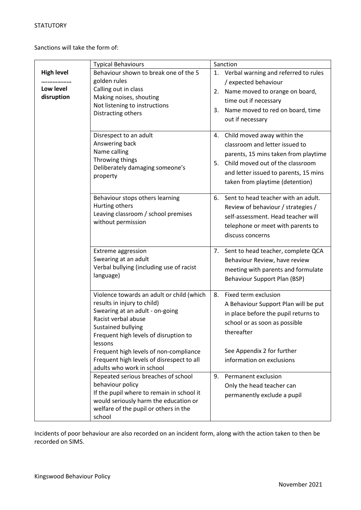Sanctions will take the form of:

|                                              | <b>Typical Behaviours</b>                                                                                                                                                                                                                                                                                                               |          | Sanction                                                                                                                                                                                                              |  |
|----------------------------------------------|-----------------------------------------------------------------------------------------------------------------------------------------------------------------------------------------------------------------------------------------------------------------------------------------------------------------------------------------|----------|-----------------------------------------------------------------------------------------------------------------------------------------------------------------------------------------------------------------------|--|
| <b>High level</b><br>Low level<br>disruption | Behaviour shown to break one of the 5<br>golden rules<br>Calling out in class<br>Making noises, shouting<br>Not listening to instructions<br>Distracting others                                                                                                                                                                         | 2.<br>3. | 1. Verbal warning and referred to rules<br>/ expected behaviour<br>Name moved to orange on board,<br>time out if necessary<br>Name moved to red on board, time<br>out if necessary                                    |  |
|                                              | Disrespect to an adult<br>Answering back<br>Name calling<br>Throwing things<br>Deliberately damaging someone's<br>property                                                                                                                                                                                                              | 4.<br>5. | Child moved away within the<br>classroom and letter issued to<br>parents, 15 mins taken from playtime<br>Child moved out of the classroom<br>and letter issued to parents, 15 mins<br>taken from playtime (detention) |  |
|                                              | Behaviour stops others learning<br>Hurting others<br>Leaving classroom / school premises<br>without permission                                                                                                                                                                                                                          |          | 6. Sent to head teacher with an adult.<br>Review of behaviour / strategies /<br>self-assessment. Head teacher will<br>telephone or meet with parents to<br>discuss concerns                                           |  |
|                                              | <b>Extreme aggression</b><br>Swearing at an adult<br>Verbal bullying (including use of racist<br>language)                                                                                                                                                                                                                              | 7.       | Sent to head teacher, complete QCA<br>Behaviour Review, have review<br>meeting with parents and formulate<br>Behaviour Support Plan (BSP)                                                                             |  |
|                                              | Violence towards an adult or child (which<br>results in injury to child)<br>Swearing at an adult - on-going<br>Racist verbal abuse<br><b>Sustained bullying</b><br>Frequent high levels of disruption to<br>lessons<br>Frequent high levels of non-compliance<br>Frequent high levels of disrespect to all<br>adults who work in school | 8.       | Fixed term exclusion<br>A Behaviour Support Plan will be put<br>in place before the pupil returns to<br>school or as soon as possible<br>thereafter<br>See Appendix 2 for further<br>information on exclusions        |  |
|                                              | Repeated serious breaches of school<br>behaviour policy<br>If the pupil where to remain in school it<br>would seriously harm the education or<br>welfare of the pupil or others in the<br>school                                                                                                                                        | 9.       | Permanent exclusion<br>Only the head teacher can<br>permanently exclude a pupil                                                                                                                                       |  |

Incidents of poor behaviour are also recorded on an incident form, along with the action taken to then be recorded on SIMS.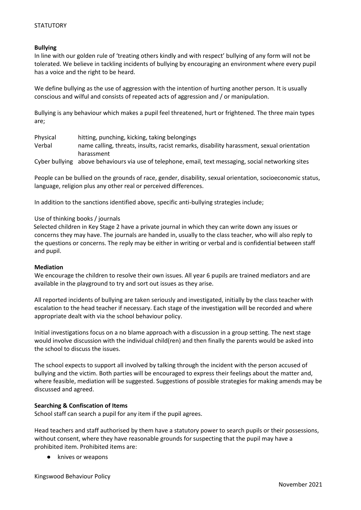# **Bullying**

In line with our golden rule of 'treating others kindly and with respect' bullying of any form will not be tolerated. We believe in tackling incidents of bullying by encouraging an environment where every pupil has a voice and the right to be heard.

We define bullying as the use of aggression with the intention of hurting another person. It is usually conscious and wilful and consists of repeated acts of aggression and / or manipulation.

Bullying is any behaviour which makes a pupil feel threatened, hurt or frightened. The three main types are;

| Physical | hitting, punching, kicking, taking belongings                                                        |
|----------|------------------------------------------------------------------------------------------------------|
| Verbal   | name calling, threats, insults, racist remarks, disability harassment, sexual orientation            |
|          | harassment                                                                                           |
|          | Cyber bullying above behaviours via use of telephone, email, text messaging, social networking sites |

People can be bullied on the grounds of race, gender, disability, sexual orientation, socioeconomic status, language, religion plus any other real or perceived differences.

In addition to the sanctions identified above, specific anti-bullying strategies include;

# Use of thinking books / journals

Selected children in Key Stage 2 have a private journal in which they can write down any issues or concerns they may have. The journals are handed in, usually to the class teacher, who will also reply to the questions or concerns. The reply may be either in writing or verbal and is confidential between staff and pupil.

#### **Mediation**

We encourage the children to resolve their own issues. All year 6 pupils are trained mediators and are available in the playground to try and sort out issues as they arise.

All reported incidents of bullying are taken seriously and investigated, initially by the class teacher with escalation to the head teacher if necessary. Each stage of the investigation will be recorded and where appropriate dealt with via the school behaviour policy.

Initial investigations focus on a no blame approach with a discussion in a group setting. The next stage would involve discussion with the individual child(ren) and then finally the parents would be asked into the school to discuss the issues.

The school expects to support all involved by talking through the incident with the person accused of bullying and the victim. Both parties will be encouraged to express their feelings about the matter and, where feasible, mediation will be suggested. Suggestions of possible strategies for making amends may be discussed and agreed.

# **Searching & Confiscation of Items**

School staff can search a pupil for any item if the pupil agrees.

Head teachers and staff authorised by them have a statutory power to search pupils or their possessions, without consent, where they have reasonable grounds for suspecting that the pupil may have a prohibited item. Prohibited items are:

knives or weapons

Kingswood Behaviour Policy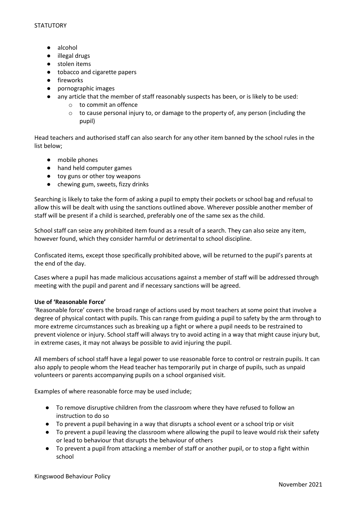- alcohol
- illegal drugs
- stolen items
- tobacco and cigarette papers
- fireworks
- pornographic images
- any article that the member of staff reasonably suspects has been, or is likely to be used:
	- o to commit an offence
	- $\circ$  to cause personal injury to, or damage to the property of, any person (including the pupil)

Head teachers and authorised staff can also search for any other item banned by the school rules in the list below;

- mobile phones
- hand held computer games
- toy guns or other toy weapons
- chewing gum, sweets, fizzy drinks

Searching is likely to take the form of asking a pupil to empty their pockets or school bag and refusal to allow this will be dealt with using the sanctions outlined above. Wherever possible another member of staff will be present if a child is searched, preferably one of the same sex as the child.

School staff can seize any prohibited item found as a result of a search. They can also seize any item, however found, which they consider harmful or detrimental to school discipline.

Confiscated items, except those specifically prohibited above, will be returned to the pupil's parents at the end of the day.

Cases where a pupil has made malicious accusations against a member of staff will be addressed through meeting with the pupil and parent and if necessary sanctions will be agreed.

# **Use of 'Reasonable Force'**

'Reasonable force' covers the broad range of actions used by most teachers at some point that involve a degree of physical contact with pupils. This can range from guiding a pupil to safety by the arm through to more extreme circumstances such as breaking up a fight or where a pupil needs to be restrained to prevent violence or injury. School staff will always try to avoid acting in a way that might cause injury but, in extreme cases, it may not always be possible to avid injuring the pupil.

All members of school staff have a legal power to use reasonable force to control or restrain pupils. It can also apply to people whom the Head teacher has temporarily put in charge of pupils, such as unpaid volunteers or parents accompanying pupils on a school organised visit.

Examples of where reasonable force may be used include;

- To remove disruptive children from the classroom where they have refused to follow an instruction to do so
- To prevent a pupil behaving in a way that disrupts a school event or a school trip or visit
- To prevent a pupil leaving the classroom where allowing the pupil to leave would risk their safety or lead to behaviour that disrupts the behaviour of others
- To prevent a pupil from attacking a member of staff or another pupil, or to stop a fight within school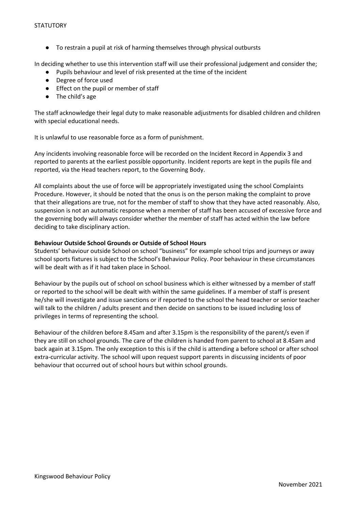● To restrain a pupil at risk of harming themselves through physical outbursts

In deciding whether to use this intervention staff will use their professional judgement and consider the;

- Pupils behaviour and level of risk presented at the time of the incident
- Degree of force used
- Effect on the pupil or member of staff
- The child's age

The staff acknowledge their legal duty to make reasonable adjustments for disabled children and children with special educational needs.

It is unlawful to use reasonable force as a form of punishment.

Any incidents involving reasonable force will be recorded on the Incident Record in Appendix 3 and reported to parents at the earliest possible opportunity. Incident reports are kept in the pupils file and reported, via the Head teachers report, to the Governing Body.

All complaints about the use of force will be appropriately investigated using the school Complaints Procedure. However, it should be noted that the onus is on the person making the complaint to prove that their allegations are true, not for the member of staff to show that they have acted reasonably. Also, suspension is not an automatic response when a member of staff has been accused of excessive force and the governing body will always consider whether the member of staff has acted within the law before deciding to take disciplinary action.

# **Behaviour Outside School Grounds or Outside of School Hours**

Students' behaviour outside School on school "business" for example school trips and journeys or away school sports fixtures is subject to the School's Behaviour Policy. Poor behaviour in these circumstances will be dealt with as if it had taken place in School.

Behaviour by the pupils out of school on school business which is either witnessed by a member of staff or reported to the school will be dealt with within the same guidelines. If a member of staff is present he/she will investigate and issue sanctions or if reported to the school the head teacher or senior teacher will talk to the children / adults present and then decide on sanctions to be issued including loss of privileges in terms of representing the school.

Behaviour of the children before 8.45am and after 3.15pm is the responsibility of the parent/s even if they are still on school grounds. The care of the children is handed from parent to school at 8.45am and back again at 3.15pm. The only exception to this is if the child is attending a before school or after school extra-curricular activity. The school will upon request support parents in discussing incidents of poor behaviour that occurred out of school hours but within school grounds.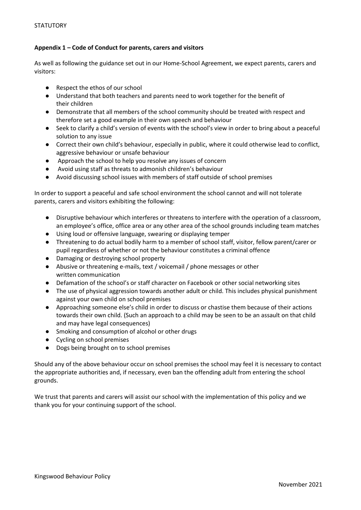# **Appendix 1 – Code of Conduct for parents, carers and visitors**

As well as following the guidance set out in our Home-School Agreement, we expect parents, carers and visitors:

- Respect the ethos of our school
- Understand that both teachers and parents need to work together for the benefit of their children
- Demonstrate that all members of the school community should be treated with respect and therefore set a good example in their own speech and behaviour
- Seek to clarify a child's version of events with the school's view in order to bring about a peaceful solution to any issue
- Correct their own child's behaviour, especially in public, where it could otherwise lead to conflict, aggressive behaviour or unsafe behaviour
- Approach the school to help you resolve any issues of concern
- Avoid using staff as threats to admonish children's behaviour
- Avoid discussing school issues with members of staff outside of school premises

In order to support a peaceful and safe school environment the school cannot and will not tolerate parents, carers and visitors exhibiting the following:

- Disruptive behaviour which interferes or threatens to interfere with the operation of a classroom, an employee's office, office area or any other area of the school grounds including team matches
- Using loud or offensive language, swearing or displaying temper
- Threatening to do actual bodily harm to a member of school staff, visitor, fellow parent/carer or pupil regardless of whether or not the behaviour constitutes a criminal offence
- Damaging or destroying school property
- Abusive or threatening e-mails, text / voicemail / phone messages or other written communication
- Defamation of the school's or staff character on Facebook or other social networking sites
- The use of physical aggression towards another adult or child. This includes physical punishment against your own child on school premises
- Approaching someone else's child in order to discuss or chastise them because of their actions towards their own child. (Such an approach to a child may be seen to be an assault on that child and may have legal consequences)
- Smoking and consumption of alcohol or other drugs
- Cycling on school premises
- Dogs being brought on to school premises

Should any of the above behaviour occur on school premises the school may feel it is necessary to contact the appropriate authorities and, if necessary, even ban the offending adult from entering the school grounds.

We trust that parents and carers will assist our school with the implementation of this policy and we thank you for your continuing support of the school.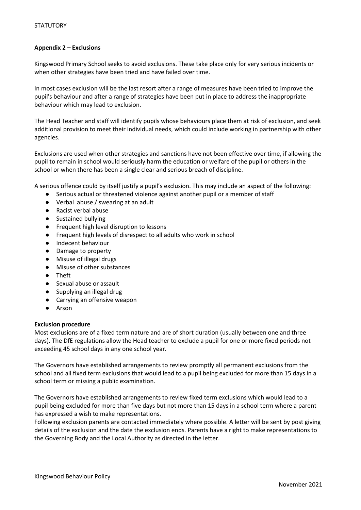# **Appendix 2 – Exclusions**

Kingswood Primary School seeks to avoid exclusions. These take place only for very serious incidents or when other strategies have been tried and have failed over time.

In most cases exclusion will be the last resort after a range of measures have been tried to improve the pupil's behaviour and after a range of strategies have been put in place to address the inappropriate behaviour which may lead to exclusion.

The Head Teacher and staff will identify pupils whose behaviours place them at risk of exclusion, and seek additional provision to meet their individual needs, which could include working in partnership with other agencies.

Exclusions are used when other strategies and sanctions have not been effective over time, if allowing the pupil to remain in school would seriously harm the education or welfare of the pupil or others in the school or when there has been a single clear and serious breach of discipline.

A serious offence could by itself justify a pupil's exclusion. This may include an aspect of the following:

- Serious actual or threatened violence against another pupil or a member of staff
- Verbal abuse / swearing at an adult
- Racist verbal abuse
- Sustained bullying
- Frequent high level disruption to lessons
- Frequent high levels of disrespect to all adults who work in school
- Indecent behaviour
- Damage to property
- Misuse of illegal drugs
- Misuse of other substances
- Theft
- Sexual abuse or assault
- Supplying an illegal drug
- Carrying an offensive weapon
- Arson

#### **Exclusion procedure**

Most exclusions are of a fixed term nature and are of short duration (usually between one and three days). The DfE regulations allow the Head teacher to exclude a pupil for one or more fixed periods not exceeding 45 school days in any one school year.

The Governors have established arrangements to review promptly all permanent exclusions from the school and all fixed term exclusions that would lead to a pupil being excluded for more than 15 days in a school term or missing a public examination.

The Governors have established arrangements to review fixed term exclusions which would lead to a pupil being excluded for more than five days but not more than 15 days in a school term where a parent has expressed a wish to make representations.

Following exclusion parents are contacted immediately where possible. A letter will be sent by post giving details of the exclusion and the date the exclusion ends. Parents have a right to make representations to the Governing Body and the Local Authority as directed in the letter.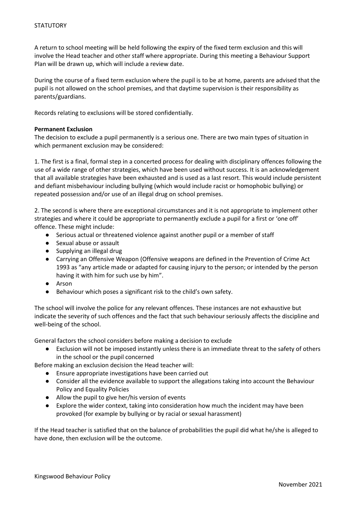A return to school meeting will be held following the expiry of the fixed term exclusion and this will involve the Head teacher and other staff where appropriate. During this meeting a Behaviour Support Plan will be drawn up, which will include a review date.

During the course of a fixed term exclusion where the pupil is to be at home, parents are advised that the pupil is not allowed on the school premises, and that daytime supervision is their responsibility as parents/guardians.

Records relating to exclusions will be stored confidentially.

# **Permanent Exclusion**

The decision to exclude a pupil permanently is a serious one. There are two main types of situation in which permanent exclusion may be considered:

1. The first is a final, formal step in a concerted process for dealing with disciplinary offences following the use of a wide range of other strategies, which have been used without success. It is an acknowledgement that all available strategies have been exhausted and is used as a last resort. This would include persistent and defiant misbehaviour including bullying (which would include racist or homophobic bullying) or repeated possession and/or use of an illegal drug on school premises.

2. The second is where there are exceptional circumstances and it is not appropriate to implement other strategies and where it could be appropriate to permanently exclude a pupil for a first or 'one off' offence. These might include:

- Serious actual or threatened violence against another pupil or a member of staff
- Sexual abuse or assault
- Supplying an illegal drug
- Carrying an Offensive Weapon (Offensive weapons are defined in the Prevention of Crime Act 1993 as "any article made or adapted for causing injury to the person; or intended by the person having it with him for such use by him".
- Arson
- Behaviour which poses a significant risk to the child's own safety.

The school will involve the police for any relevant offences. These instances are not exhaustive but indicate the severity of such offences and the fact that such behaviour seriously affects the discipline and well-being of the school.

General factors the school considers before making a decision to exclude

● Exclusion will not be imposed instantly unless there is an immediate threat to the safety of others in the school or the pupil concerned

Before making an exclusion decision the Head teacher will:

- Ensure appropriate investigations have been carried out
- Consider all the evidence available to support the allegations taking into account the Behaviour Policy and Equality Policies
- Allow the pupil to give her/his version of events
- Explore the wider context, taking into consideration how much the incident may have been provoked (for example by bullying or by racial or sexual harassment)

If the Head teacher is satisfied that on the balance of probabilities the pupil did what he/she is alleged to have done, then exclusion will be the outcome.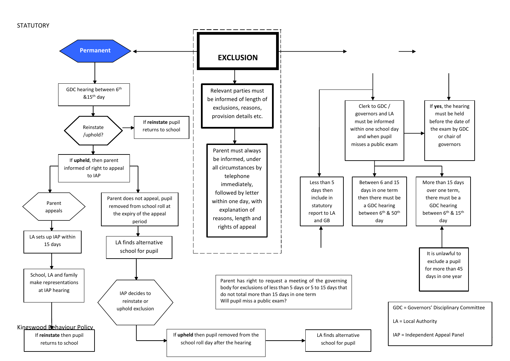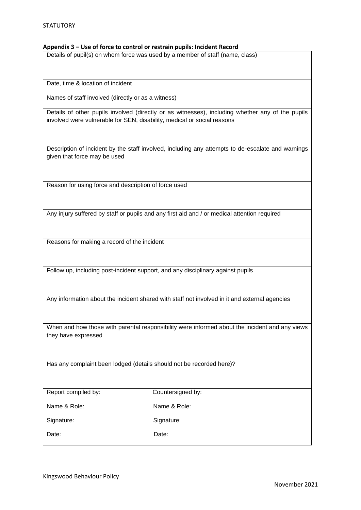#### **Appendix 3 – Use of force to control or restrain pupils: Incident Record**

Details of pupil(s) on whom force was used by a member of staff (name, class)

Date, time & location of incident

Names of staff involved (directly or as a witness)

Details of other pupils involved (directly or as witnesses), including whether any of the pupils involved were vulnerable for SEN, disability, medical or social reasons

Description of incident by the staff involved, including any attempts to de-escalate and warnings given that force may be used

Reason for using force and description of force used

Any injury suffered by staff or pupils and any first aid and / or medical attention required

Reasons for making a record of the incident

Follow up, including post-incident support, and any disciplinary against pupils

Any information about the incident shared with staff not involved in it and external agencies

When and how those with parental responsibility were informed about the incident and any views they have expressed

Has any complaint been lodged (details should not be recorded here)?

Countersigned by:

Name & Role: Name & Role:

Signature: Signature: Signature:

Date: Date: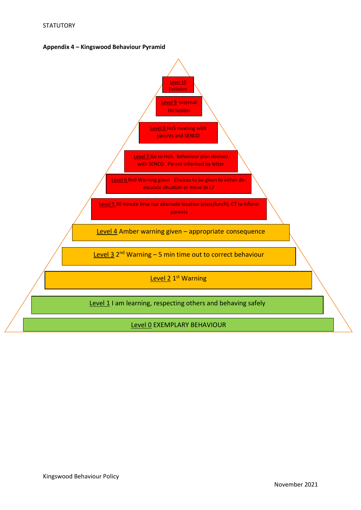

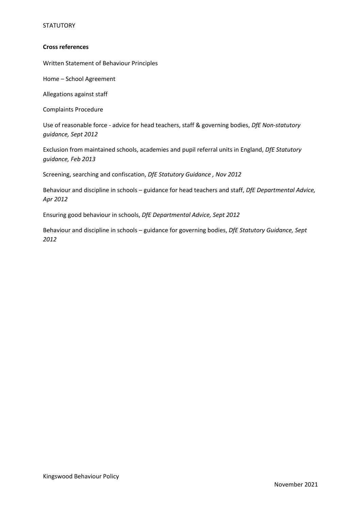# **STATUTORY**

# **Cross references**

Written Statement of Behaviour Principles

Home – School Agreement

Allegations against staff

Complaints Procedure

Use of reasonable force - advice for head teachers, staff & governing bodies, *DfE Non-statutory guidance, Sept 2012*

Exclusion from maintained schools, academies and pupil referral units in England, *DfE Statutory guidance, Feb 2013*

Screening, searching and confiscation, *DfE Statutory Guidance , Nov 2012*

Behaviour and discipline in schools – guidance for head teachers and staff, *DfE Departmental Advice, Apr 2012* 

Ensuring good behaviour in schools, *DfE Departmental Advice, Sept 2012*

Behaviour and discipline in schools – guidance for governing bodies, *DfE Statutory Guidance, Sept 2012*